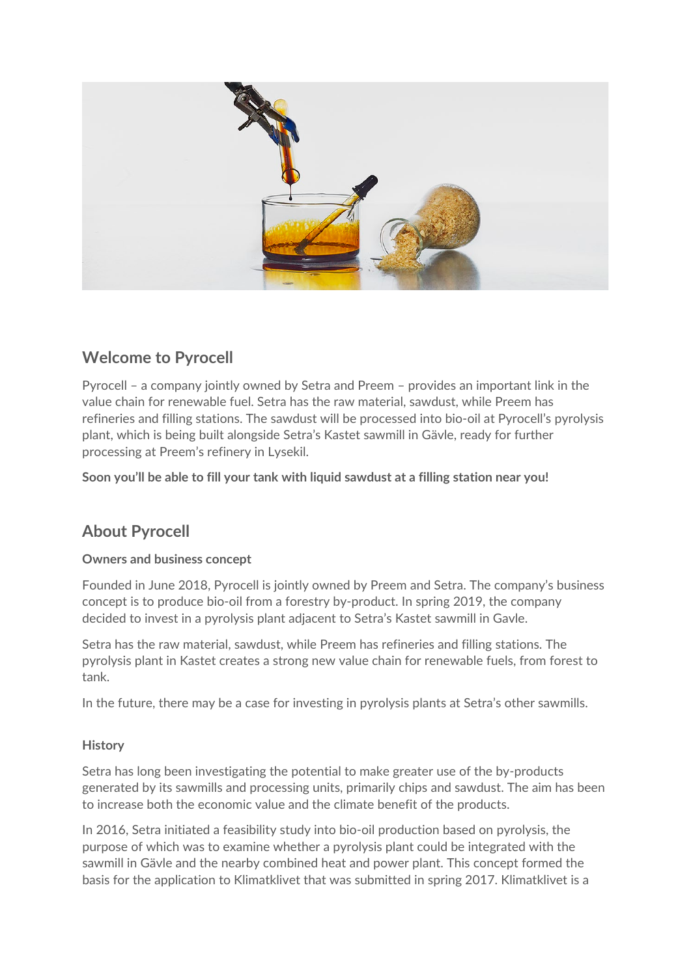

# **Welcome to Pyrocell**

Pyrocell – a company jointly owned by Setra and Preem – provides an important link in the value chain for renewable fuel. Setra has the raw material, sawdust, while Preem has refineries and filling stations. The sawdust will be processed into bio-oil at Pyrocell's pyrolysis plant, which is being built alongside Setra's Kastet sawmill in Gävle, ready for further processing at Preem's refinery in Lysekil.

**Soon you'll be able to fill your tank with liquid sawdust at a filling station near you!**

# **About Pyrocell**

### **Owners and business concept**

Founded in June 2018, Pyrocell is jointly owned by Preem and Setra. The company's business concept is to produce bio-oil from a forestry by-product. In spring 2019, the company decided to invest in a pyrolysis plant adjacent to Setra's Kastet sawmill in Gavle.

Setra has the raw material, sawdust, while Preem has refineries and filling stations. The pyrolysis plant in Kastet creates a strong new value chain for renewable fuels, from forest to tank.

In the future, there may be a case for investing in pyrolysis plants at Setra's other sawmills.

### **History**

Setra has long been investigating the potential to make greater use of the by-products generated by its sawmills and processing units, primarily chips and sawdust. The aim has been to increase both the economic value and the climate benefit of the products.

In 2016, Setra initiated a feasibility study into bio-oil production based on pyrolysis, the purpose of which was to examine whether a pyrolysis plant could be integrated with the sawmill in Gävle and the nearby combined heat and power plant. This concept formed the basis for the application to Klimatklivet that was submitted in spring 2017. Klimatklivet is a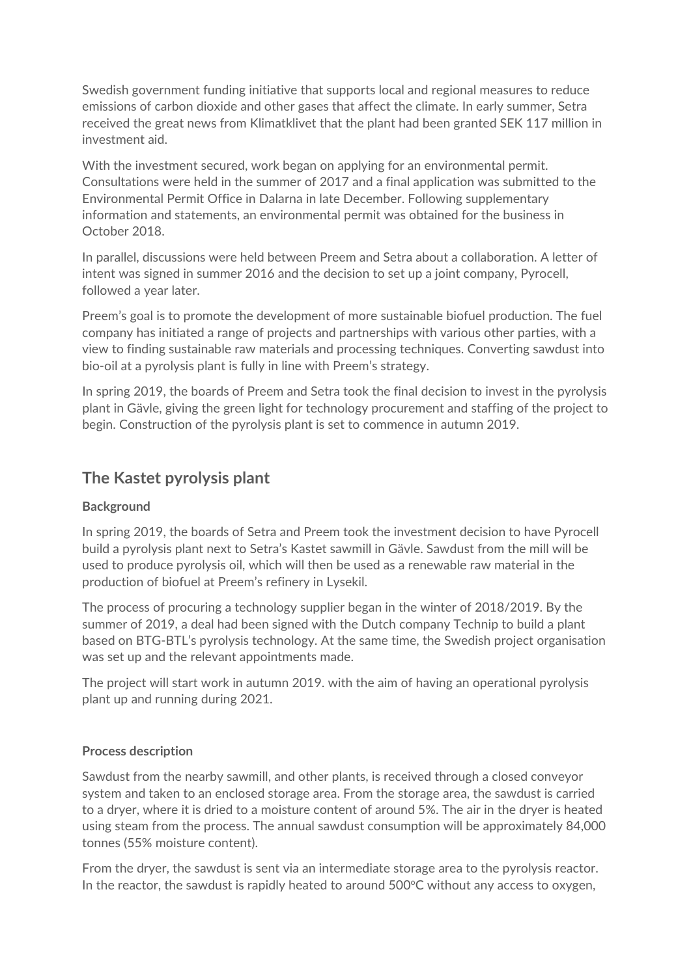Swedish government funding initiative that supports local and regional measures to reduce emissions of carbon dioxide and other gases that affect the climate. In early summer, Setra received the great news from Klimatklivet that the plant had been granted SEK 117 million in investment aid.

With the investment secured, work began on applying for an environmental permit. Consultations were held in the summer of 2017 and a final application was submitted to the Environmental Permit Office in Dalarna in late December. Following supplementary information and statements, an environmental permit was obtained for the business in October 2018.

In parallel, discussions were held between Preem and Setra about a collaboration. A letter of intent was signed in summer 2016 and the decision to set up a joint company, Pyrocell, followed a year later.

Preem's goal is to promote the development of more sustainable biofuel production. The fuel company has initiated a range of projects and partnerships with various other parties, with a view to finding sustainable raw materials and processing techniques. Converting sawdust into bio-oil at a pyrolysis plant is fully in line with Preem's strategy.

In spring 2019, the boards of Preem and Setra took the final decision to invest in the pyrolysis plant in Gävle, giving the green light for technology procurement and staffing of the project to begin. Construction of the pyrolysis plant is set to commence in autumn 2019.

### **The Kastet pyrolysis plant**

### **Background**

In spring 2019, the boards of Setra and Preem took the investment decision to have Pyrocell build a pyrolysis plant next to Setra's Kastet sawmill in Gävle. Sawdust from the mill will be used to produce pyrolysis oil, which will then be used as a renewable raw material in the production of biofuel at Preem's refinery in Lysekil.

The process of procuring a technology supplier began in the winter of 2018/2019. By the summer of 2019, a deal had been signed with the Dutch company Technip to build a plant based on BTG-BTL's pyrolysis technology. At the same time, the Swedish project organisation was set up and the relevant appointments made.

The project will start work in autumn 2019. with the aim of having an operational pyrolysis plant up and running during 2021.

### **Process description**

Sawdust from the nearby sawmill, and other plants, is received through a closed conveyor system and taken to an enclosed storage area. From the storage area, the sawdust is carried to a dryer, where it is dried to a moisture content of around 5%. The air in the dryer is heated using steam from the process. The annual sawdust consumption will be approximately 84,000 tonnes (55% moisture content).

From the dryer, the sawdust is sent via an intermediate storage area to the pyrolysis reactor. In the reactor, the sawdust is rapidly heated to around 500°C without any access to oxygen,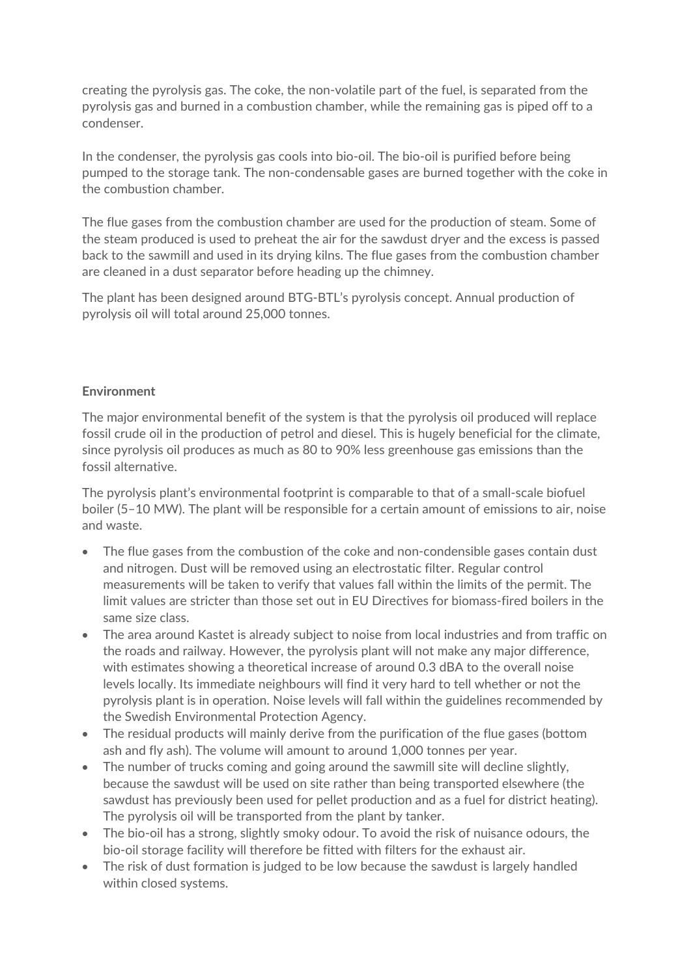creating the pyrolysis gas. The coke, the non-volatile part of the fuel, is separated from the pyrolysis gas and burned in a combustion chamber, while the remaining gas is piped off to a condenser.

In the condenser, the pyrolysis gas cools into bio-oil. The bio-oil is purified before being pumped to the storage tank. The non-condensable gases are burned together with the coke in the combustion chamber.

The flue gases from the combustion chamber are used for the production of steam. Some of the steam produced is used to preheat the air for the sawdust dryer and the excess is passed back to the sawmill and used in its drying kilns. The flue gases from the combustion chamber are cleaned in a dust separator before heading up the chimney.

The plant has been designed around BTG-BTL's pyrolysis concept. Annual production of pyrolysis oil will total around 25,000 tonnes.

#### **Environment**

The major environmental benefit of the system is that the pyrolysis oil produced will replace fossil crude oil in the production of petrol and diesel. This is hugely beneficial for the climate, since pyrolysis oil produces as much as 80 to 90% less greenhouse gas emissions than the fossil alternative.

The pyrolysis plant's environmental footprint is comparable to that of a small-scale biofuel boiler (5–10 MW). The plant will be responsible for a certain amount of emissions to air, noise and waste.

- The flue gases from the combustion of the coke and non-condensible gases contain dust and nitrogen. Dust will be removed using an electrostatic filter. Regular control measurements will be taken to verify that values fall within the limits of the permit. The limit values are stricter than those set out in EU Directives for biomass-fired boilers in the same size class.
- The area around Kastet is already subject to noise from local industries and from traffic on the roads and railway. However, the pyrolysis plant will not make any major difference, with estimates showing a theoretical increase of around 0.3 dBA to the overall noise levels locally. Its immediate neighbours will find it very hard to tell whether or not the pyrolysis plant is in operation. Noise levels will fall within the guidelines recommended by the Swedish Environmental Protection Agency.
- The residual products will mainly derive from the purification of the flue gases (bottom ash and fly ash). The volume will amount to around 1,000 tonnes per year.
- The number of trucks coming and going around the sawmill site will decline slightly, because the sawdust will be used on site rather than being transported elsewhere (the sawdust has previously been used for pellet production and as a fuel for district heating). The pyrolysis oil will be transported from the plant by tanker.
- The bio-oil has a strong, slightly smoky odour. To avoid the risk of nuisance odours, the bio-oil storage facility will therefore be fitted with filters for the exhaust air.
- The risk of dust formation is judged to be low because the sawdust is largely handled within closed systems.